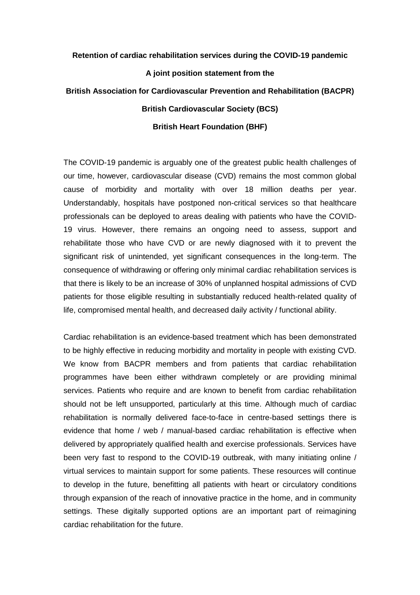## **Retention of cardiac rehabilitation services during the COVID-19 pandemic**

## **A joint position statement from the**

## **British Association for Cardiovascular Prevention and Rehabilitation (BACPR) British Cardiovascular Society (BCS) British Heart Foundation (BHF)**

The COVID-19 pandemic is arguably one of the greatest public health challenges of our time, however, cardiovascular disease (CVD) remains the most common global cause of morbidity and mortality with over 18 million deaths per year. Understandably, hospitals have postponed non-critical services so that healthcare professionals can be deployed to areas dealing with patients who have the COVID-19 virus. However, there remains an ongoing need to assess, support and rehabilitate those who have CVD or are newly diagnosed with it to prevent the significant risk of unintended, yet significant consequences in the long-term. The consequence of withdrawing or offering only minimal cardiac rehabilitation services is that there is likely to be an increase of 30% of unplanned hospital admissions of CVD patients for those eligible resulting in substantially reduced health-related quality of life, compromised mental health, and decreased daily activity / functional ability.

Cardiac rehabilitation is an evidence-based treatment which has been demonstrated to be highly effective in reducing morbidity and mortality in people with existing CVD. We know from BACPR members and from patients that cardiac rehabilitation programmes have been either withdrawn completely or are providing minimal services. Patients who require and are known to benefit from cardiac rehabilitation should not be left unsupported, particularly at this time. Although much of cardiac rehabilitation is normally delivered face-to-face in centre-based settings there is evidence that home / web / manual-based cardiac rehabilitation is effective when delivered by appropriately qualified health and exercise professionals. Services have been very fast to respond to the COVID-19 outbreak, with many initiating online / virtual services to maintain support for some patients. These resources will continue to develop in the future, benefitting all patients with heart or circulatory conditions through expansion of the reach of innovative practice in the home, and in community settings. These digitally supported options are an important part of reimagining cardiac rehabilitation for the future.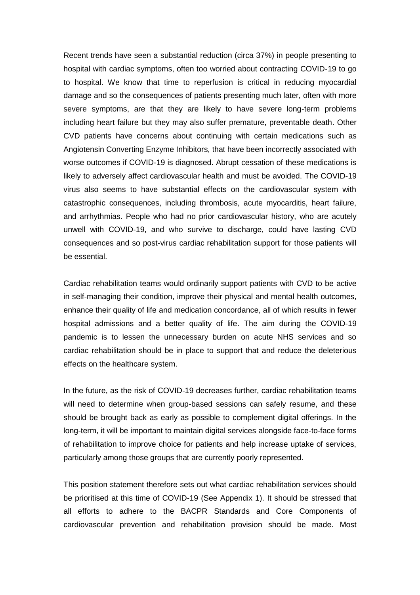Recent trends have seen a substantial reduction (circa 37%) in people presenting to hospital with cardiac symptoms, often too worried about contracting COVID-19 to go to hospital. We know that time to reperfusion is critical in reducing myocardial damage and so the consequences of patients presenting much later, often with more severe symptoms, are that they are likely to have severe long-term problems including heart failure but they may also suffer premature, preventable death. Other CVD patients have concerns about continuing with certain medications such as Angiotensin Converting Enzyme Inhibitors, that have been incorrectly associated with worse outcomes if COVID-19 is diagnosed. Abrupt cessation of these medications is likely to adversely affect cardiovascular health and must be avoided. The COVID-19 virus also seems to have substantial effects on the cardiovascular system with catastrophic consequences, including thrombosis, acute myocarditis, heart failure, and arrhythmias. People who had no prior cardiovascular history, who are acutely unwell with COVID-19, and who survive to discharge, could have lasting CVD consequences and so post-virus cardiac rehabilitation support for those patients will be essential.

Cardiac rehabilitation teams would ordinarily support patients with CVD to be active in self-managing their condition, improve their physical and mental health outcomes, enhance their quality of life and medication concordance, all of which results in fewer hospital admissions and a better quality of life. The aim during the COVID-19 pandemic is to lessen the unnecessary burden on acute NHS services and so cardiac rehabilitation should be in place to support that and reduce the deleterious effects on the healthcare system.

In the future, as the risk of COVID-19 decreases further, cardiac rehabilitation teams will need to determine when group-based sessions can safely resume, and these should be brought back as early as possible to complement digital offerings. In the long-term, it will be important to maintain digital services alongside face-to-face forms of rehabilitation to improve choice for patients and help increase uptake of services, particularly among those groups that are currently poorly represented.

This position statement therefore sets out what cardiac rehabilitation services should be prioritised at this time of COVID-19 (See Appendix 1). It should be stressed that all efforts to adhere to the BACPR Standards and Core Components of cardiovascular prevention and rehabilitation provision should be made. Most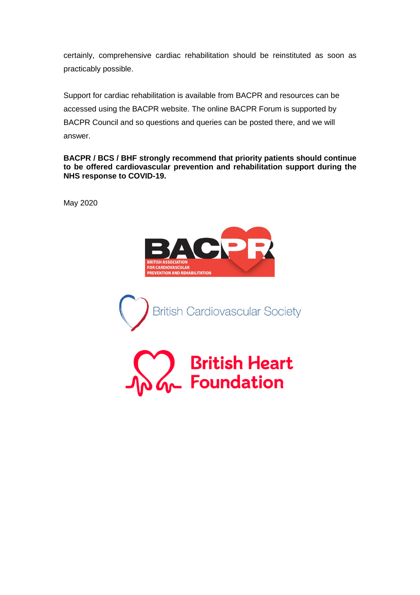certainly, comprehensive cardiac rehabilitation should be reinstituted as soon as practicably possible.

Support for cardiac rehabilitation is available from BACPR and resources can be accessed using the BACPR website. The online BACPR Forum is supported by BACPR Council and so questions and queries can be posted there, and we will answer.

**BACPR / BCS / BHF strongly recommend that priority patients should continue to be offered cardiovascular prevention and rehabilitation support during the NHS response to COVID-19.**

May 2020



**British Cardiovascular Society**